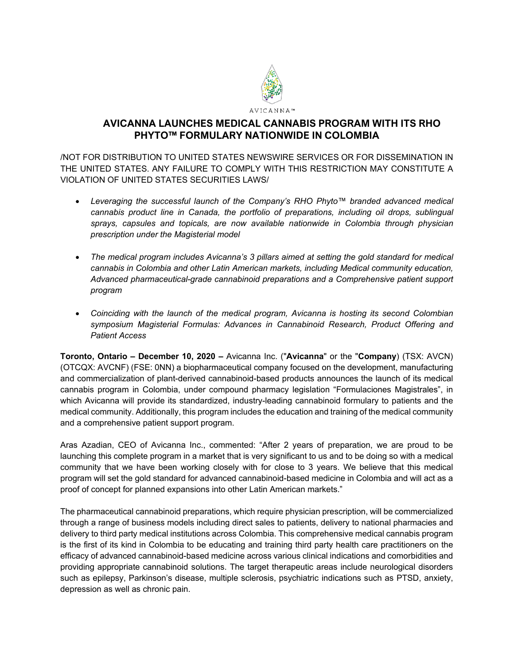

## **AVICANNA LAUNCHES MEDICAL CANNABIS PROGRAM WITH ITS RHO PHYTO™ FORMULARY NATIONWIDE IN COLOMBIA**

/NOT FOR DISTRIBUTION TO UNITED STATES NEWSWIRE SERVICES OR FOR DISSEMINATION IN THE UNITED STATES. ANY FAILURE TO COMPLY WITH THIS RESTRICTION MAY CONSTITUTE A VIOLATION OF UNITED STATES SECURITIES LAWS/

- *Leveraging the successful launch of the Company's RHO Phyto™ branded advanced medical cannabis product line in Canada, the portfolio of preparations, including oil drops, sublingual sprays, capsules and topicals, are now available nationwide in Colombia through physician prescription under the Magisterial model*
- *The medical program includes Avicanna's 3 pillars aimed at setting the gold standard for medical cannabis in Colombia and other Latin American markets, including Medical community education, Advanced pharmaceutical-grade cannabinoid preparations and a Comprehensive patient support program*
- *Coinciding with the launch of the medical program, Avicanna is hosting its second Colombian symposium Magisterial Formulas: Advances in Cannabinoid Research, Product Offering and Patient Access*

**Toronto, Ontario – December 10, 2020 –** Avicanna Inc. ("**Avicanna**" or the "**Company**) (TSX: AVCN) (OTCQX: AVCNF) (FSE: 0NN) a biopharmaceutical company focused on the development, manufacturing and commercialization of plant-derived cannabinoid-based products announces the launch of its medical cannabis program in Colombia, under compound pharmacy legislation "Formulaciones Magistrales", in which Avicanna will provide its standardized, industry-leading cannabinoid formulary to patients and the medical community. Additionally, this program includes the education and training of the medical community and a comprehensive patient support program.

Aras Azadian, CEO of Avicanna Inc., commented: "After 2 years of preparation, we are proud to be launching this complete program in a market that is very significant to us and to be doing so with a medical community that we have been working closely with for close to 3 years. We believe that this medical program will set the gold standard for advanced cannabinoid-based medicine in Colombia and will act as a proof of concept for planned expansions into other Latin American markets."

The pharmaceutical cannabinoid preparations, which require physician prescription, will be commercialized through a range of business models including direct sales to patients, delivery to national pharmacies and delivery to third party medical institutions across Colombia. This comprehensive medical cannabis program is the first of its kind in Colombia to be educating and training third party health care practitioners on the efficacy of advanced cannabinoid-based medicine across various clinical indications and comorbidities and providing appropriate cannabinoid solutions. The target therapeutic areas include neurological disorders such as epilepsy, Parkinson's disease, multiple sclerosis, psychiatric indications such as PTSD, anxiety, depression as well as chronic pain.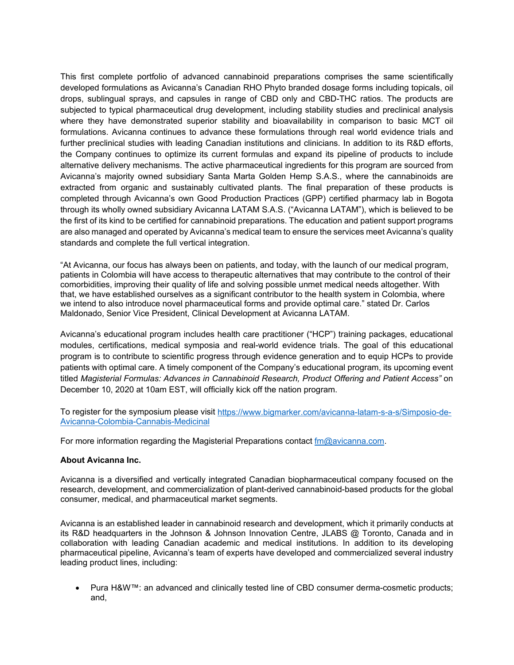This first complete portfolio of advanced cannabinoid preparations comprises the same scientifically developed formulations as Avicanna's Canadian RHO Phyto branded dosage forms including topicals, oil drops, sublingual sprays, and capsules in range of CBD only and CBD-THC ratios. The products are subjected to typical pharmaceutical drug development, including stability studies and preclinical analysis where they have demonstrated superior stability and bioavailability in comparison to basic MCT oil formulations. Avicanna continues to advance these formulations through real world evidence trials and further preclinical studies with leading Canadian institutions and clinicians. In addition to its R&D efforts, the Company continues to optimize its current formulas and expand its pipeline of products to include alternative delivery mechanisms. The active pharmaceutical ingredients for this program are sourced from Avicanna's majority owned subsidiary Santa Marta Golden Hemp S.A.S., where the cannabinoids are extracted from organic and sustainably cultivated plants. The final preparation of these products is completed through Avicanna's own Good Production Practices (GPP) certified pharmacy lab in Bogota through its wholly owned subsidiary Avicanna LATAM S.A.S. ("Avicanna LATAM"), which is believed to be the first of its kind to be certified for cannabinoid preparations. The education and patient support programs are also managed and operated by Avicanna's medical team to ensure the services meet Avicanna's quality standards and complete the full vertical integration.

"At Avicanna, our focus has always been on patients, and today, with the launch of our medical program, patients in Colombia will have access to therapeutic alternatives that may contribute to the control of their comorbidities, improving their quality of life and solving possible unmet medical needs altogether. With that, we have established ourselves as a significant contributor to the health system in Colombia, where we intend to also introduce novel pharmaceutical forms and provide optimal care." stated Dr. Carlos Maldonado, Senior Vice President, Clinical Development at Avicanna LATAM.

Avicanna's educational program includes health care practitioner ("HCP") training packages, educational modules, certifications, medical symposia and real-world evidence trials. The goal of this educational program is to contribute to scientific progress through evidence generation and to equip HCPs to provide patients with optimal care. A timely component of the Company's educational program, its upcoming event titled *Magisterial Formulas: Advances in Cannabinoid Research, Product Offering and Patient Access"* on December 10, 2020 at 10am EST, will officially kick off the nation program.

To register for the symposium please visit [https://www.bigmarker.com/avicanna-latam-s-a-s/Simposio-de-](https://www.bigmarker.com/avicanna-latam-s-a-s/Simposio-de-Avicanna-Colombia-Cannabis-Medicinal)[Avicanna-Colombia-Cannabis-Medicinal](https://www.bigmarker.com/avicanna-latam-s-a-s/Simposio-de-Avicanna-Colombia-Cannabis-Medicinal)

For more information regarding the Magisterial Preparations contact  $f_{\text{m}}\textcircled{a}$  vicanna.com.

## **About Avicanna Inc.**

Avicanna is a diversified and vertically integrated Canadian biopharmaceutical company focused on the research, development, and commercialization of plant-derived cannabinoid-based products for the global consumer, medical, and pharmaceutical market segments.

Avicanna is an established leader in cannabinoid research and development, which it primarily conducts at its R&D headquarters in the Johnson & Johnson Innovation Centre, JLABS @ Toronto, Canada and in collaboration with leading Canadian academic and medical institutions. In addition to its developing pharmaceutical pipeline, Avicanna's team of experts have developed and commercialized several industry leading product lines, including:

• Pura H&W™: an advanced and clinically tested line of CBD consumer derma-cosmetic products; and,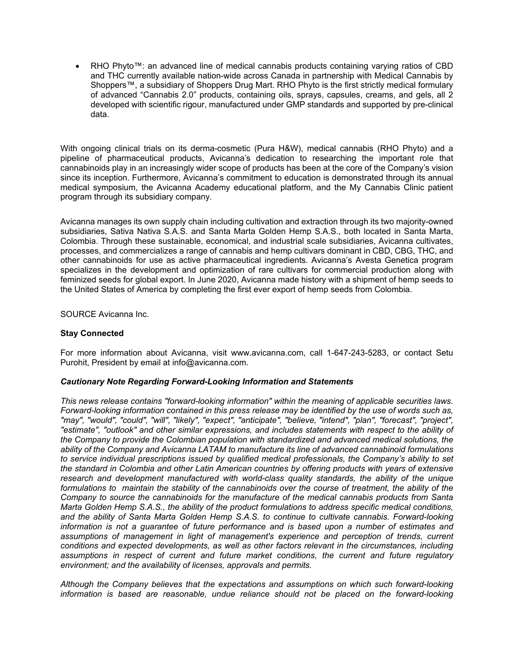• RHO Phyto™: an advanced line of medical cannabis products containing varying ratios of CBD and THC currently available nation-wide across Canada in partnership with Medical Cannabis by Shoppers™, a subsidiary of Shoppers Drug Mart. RHO Phyto is the first strictly medical formulary of advanced "Cannabis 2.0" products, containing oils, sprays, capsules, creams, and gels, all 2 developed with scientific rigour, manufactured under GMP standards and supported by pre-clinical data.

With ongoing clinical trials on its derma-cosmetic (Pura H&W), medical cannabis (RHO Phyto) and a pipeline of pharmaceutical products, Avicanna's dedication to researching the important role that cannabinoids play in an increasingly wider scope of products has been at the core of the Company's vision since its inception. Furthermore, Avicanna's commitment to education is demonstrated through its annual medical symposium, the Avicanna Academy educational platform, and the My Cannabis Clinic patient program through its subsidiary company.

Avicanna manages its own supply chain including cultivation and extraction through its two majority-owned subsidiaries, Sativa Nativa S.A.S. and Santa Marta Golden Hemp S.A.S., both located in Santa Marta, Colombia. Through these sustainable, economical, and industrial scale subsidiaries, Avicanna cultivates, processes, and commercializes a range of cannabis and hemp cultivars dominant in CBD, CBG, THC, and other cannabinoids for use as active pharmaceutical ingredients. Avicanna's Avesta Genetica program specializes in the development and optimization of rare cultivars for commercial production along with feminized seeds for global export. In June 2020, Avicanna made history with a shipment of hemp seeds to the United States of America by completing the first ever export of hemp seeds from Colombia.

SOURCE Avicanna Inc.

## **Stay Connected**

For more information about Avicanna, visit www.avicanna.com, call 1-647-243-5283, or contact Setu Purohit, President by email at info@avicanna.com.

## *Cautionary Note Regarding Forward-Looking Information and Statements*

*This news release contains "forward-looking information" within the meaning of applicable securities laws. Forward-looking information contained in this press release may be identified by the use of words such as, "may", "would", "could", "will", "likely", "expect", "anticipate", "believe, "intend", "plan", "forecast", "project", "estimate", "outlook" and other similar expressions, and includes statements with respect to the ability of the Company to provide the Colombian population with standardized and advanced medical solutions, the ability of the Company and Avicanna LATAM to manufacture its line of advanced cannabinoid formulations to service individual prescriptions issued by qualified medical professionals, the Company's ability to set the standard in Colombia and other Latin American countries by offering products with years of extensive research and development manufactured with world-class quality standards, the ability of the unique formulations to maintain the stability of the cannabinoids over the course of treatment, the ability of the Company to source the cannabinoids for the manufacture of the medical cannabis products from Santa Marta Golden Hemp S.A.S., the ability of the product formulations to address specific medical conditions, and the ability of Santa Marta Golden Hemp S.A.S. to continue to cultivate cannabis. Forward-looking information is not a guarantee of future performance and is based upon a number of estimates and assumptions of management in light of management's experience and perception of trends, current conditions and expected developments, as well as other factors relevant in the circumstances, including assumptions in respect of current and future market conditions, the current and future regulatory environment; and the availability of licenses, approvals and permits.*

*Although the Company believes that the expectations and assumptions on which such forward-looking information is based are reasonable, undue reliance should not be placed on the forward-looking*